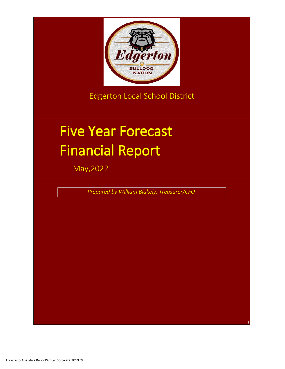

Edgerton Local School District

# Five Year Forecast Financial Report

May,2022

*Prepared by William Blakely, Treasurer/CFO*

1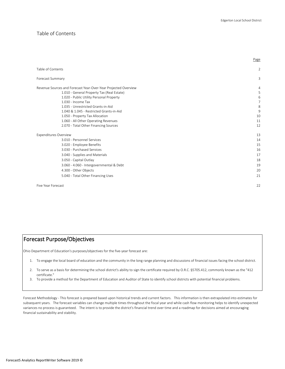Page

#### Table of Contents

| Table of Contents            |                                                                |                |
|------------------------------|----------------------------------------------------------------|----------------|
| Forecast Summary             |                                                                |                |
|                              | Revenue Sources and Forecast Year-Over-Year Projected Overview |                |
|                              | 1.010 - General Property Tax (Real Estate)                     |                |
|                              | 1.020 - Public Utility Personal Property                       |                |
|                              | 1.030 - Income Tax                                             |                |
|                              | 1.035 - Unrestricted Grants-in-Aid                             |                |
|                              | 1.040 & 1.045 - Restricted Grants-in-Aid                       |                |
|                              | 1.050 - Property Tax Allocation                                | 10             |
|                              | 1.060 - All Other Operating Revenues                           | 11             |
|                              | 2.070 - Total Other Financing Sources                          | 12             |
| <b>Expenditures Overview</b> |                                                                | 13             |
|                              | 3.010 - Personnel Services                                     | 14             |
|                              | 3.020 - Employee Benefits                                      | 15             |
|                              | 3.030 - Purchased Services                                     | 16             |
|                              | 3.040 - Supplies and Materials                                 | 17             |
|                              | 3.050 - Capital Outlay                                         | 18             |
|                              | 3.060 - 4.060 - Intergovernmental & Debt                       | 15             |
|                              | 4.300 - Other Objects                                          | 2 <sup>c</sup> |
|                              | 5.040 - Total Other Financing Uses                             | 21             |
| Five Year Forecast           |                                                                | 22             |

# Forecast Purpose/Objectives

Ohio Department of Education's purposes/objectives for the five-year forecast are:

- 1. To engage the local board of education and the community in the long range planning and discussions of financial issues facing the school district.
- 2. To serve as a basis for determining the school district's ability to sign the certificate required by O.R.C. §5705.412, commonly known as the "412 certificate."
- 3. To provide a method for the Department of Education and Auditor of State to identify school districts with potential financial problems.

Forecast Methodology - This forecast is prepared based upon historical trends and current factors. This information is then extrapolated into estimates for subsequent years. The forecast variables can change multiple times throughout the fiscal year and while cash flow monitoring helps to identify unexpected variances no process is guaranteed. The intent is to provide the district's financial trend over time and a roadmap for decisions aimed at encouraging financial sustainability and stability.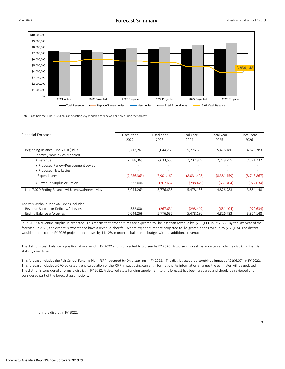

Note: Cash balance (Line 7.020) plus any existing levy modeled as renewed or new during the forecast.

| <b>Financial Forecast</b>                         | Fiscal Year   | Fiscal Year | Fiscal Year              | Fiscal Year | Fiscal Year |
|---------------------------------------------------|---------------|-------------|--------------------------|-------------|-------------|
|                                                   | 2022          | 2023        | 2024                     | 2025        | 2026        |
|                                                   |               |             |                          |             |             |
| Beginning Balance (Line 7.010) Plus               | 5,712,263     | 6.044.269   | 5,776,635                | 5,478,186   | 4,826,783   |
| Renewal/New Levies Modeled                        |               |             |                          |             |             |
| + Revenue                                         | 7,588,369     | 7,633,535   | 7,732,959                | 7,729,755   | 7,771,232   |
| + Proposed Renew/Replacement Levies               |               |             | $\overline{\phantom{a}}$ |             |             |
| + Proposed New Levies                             |               |             | $\overline{\phantom{a}}$ |             |             |
| - Expenditures                                    | (7, 256, 363) | (7,901,169) | (8,031,408)              | (8,381,159) | (8,743,867) |
| = Revenue Surplus or Deficit                      | 332.006       | (267, 634)  | (298, 449)               | (651, 404)  | (972, 634)  |
| Line 7.020 Ending Balance with renewal/new levies | 6.044.269     | 5,776,635   | 5,478,186                | 4,826,783   | 3,854,148   |

#### Analysis Without Renewal Levies Included:

| Revenue :<br>: Surplus or Deficit w/o<br>d Levies | 332,006   | $\sim$ $\sim$<br>634<br>. ZO 4<br> | סחרי<br>$\sim$ $\sim$ $\sim$ $\sim$<br>AA9'<br>290 | (651, 404) | $10-$                               |
|---------------------------------------------------|-----------|------------------------------------|----------------------------------------------------|------------|-------------------------------------|
| Levies<br>chding Balance w/c                      | 6.044.269 | 5.776.635                          | .478.186<br>.47<br>◡                               | 4.826.783  | 3.854<br>$\Lambda$ $\Omega$<br>- 48 |

In FY 2022 a revenue surplus is expected. This means that expenditures are expected to be less than revenue by -\$332,006 in FY 2022. By the last year of the forecast, FY 2026, the district is expected to have a revenue shortfall where expenditures are projected to be greater than revenue by \$972,634 The district would need to cut its FY 2026 projected expenses by 11.12% in order to balance its budget without additional revenue.

The district's cash balance is positive at year-end in FY 2022 and is projected to worsen by FY 2026. A worsening cash balance can erode the district's financial stability over time.

This forecast includes the Fair School Funding Plan (FSFP) adopted by Ohio starting in FY 2022. The district expects a combined impact of \$196,074 in FY 2022. This forecast includes a CFO adjusted trend calculation of the FSFP impact using current information. As information changes the estimates will be updated. The district is considered a formula district in FY 2022. A detailed state funding supplement to this forecast has been prepared and should be reviewed and considered part of the forecast assumptions.

formula district in FY 2022.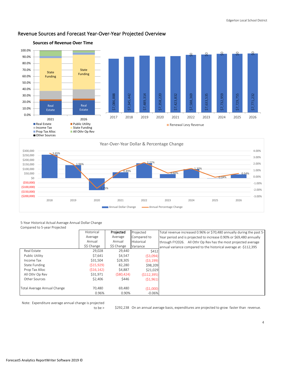

# Revenue Sources and Forecast Year-Over-Year Projected Overview



#### 5-Year Historical Actual Average Annual Dollar Change Compared to 5-year Projected

|                             | Historical  | Projected   | Projected   | Total revenue increased 0.96% or \$70,480 annually during the past 5- |
|-----------------------------|-------------|-------------|-------------|-----------------------------------------------------------------------|
|                             | Average     | Average     | Compared to | Year period and is projected to increase 0.90% or \$69,480 annually   |
|                             | Annual      | Annual      | Historical  | through FY2026. All Othr Op Rev has the most projected average        |
|                             | \$\$ Change | \$\$ Change | Variance    | annual variance compared to the historical average at -\$112,395      |
| Real Estate                 | 29,028      | 29,440      | \$412       |                                                                       |
| Public Utility              | \$7,641     | \$4,547     | (53,094)    |                                                                       |
| Income Tax                  | \$31,504    | \$28,305    | (53, 199)   |                                                                       |
| State Funding               | (515, 929)  | 82,280      | \$98,209    |                                                                       |
| Prop Tax Alloc              | (516, 142)  | \$4,887     | \$21,029    |                                                                       |
| All Othr Op Rev             | \$31,971    | (580, 424)  | (5112, 395) |                                                                       |
| Other Sources               | \$2,406     | \$446       | (51,961)    |                                                                       |
|                             |             |             |             |                                                                       |
| Total Average Annual Change | 70.480      | 69,480      | (51,000)    |                                                                       |
|                             | 0.96%       | 0.90%       | $-0.06%$    |                                                                       |

Note: Expenditure average annual change is projected

to be > \$292,238 On an annual average basis, expenditures are projected to grow faster than revenue.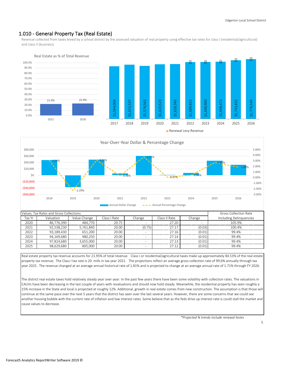# 1.010 - General Property Tax (Real Estate)

Revenue collected from taxes levied by a school district by the assessed valuation of real property using effective tax rates for class I (residential/agricultural) and class II (business).







|        | Values. Tax Rates and Gross Collections                                        | <b>Gross Collection Rate</b> |       |        |                         |        |        |
|--------|--------------------------------------------------------------------------------|------------------------------|-------|--------|-------------------------|--------|--------|
| Tax Yr | Class II Rate<br>Valuation<br>Value Change<br>Class I Rate<br>Change<br>Change |                              |       |        | Including Delinquencies |        |        |
| 2020   | 86.776.390                                                                     | 484.770                      | 20.75 |        | 27.20                   |        | 105.9% |
| 2021   | 92.538.230                                                                     | 5.761.840                    | 20.00 | (0.75) | 27.1                    | (0.03) | 100.4% |
| 2022   | 93,189,430                                                                     | 651.200                      | 20.00 |        | 27.16                   | (0.01) | 99.4%  |
| 2023   | 94.169.680                                                                     | 980.250                      | 20.00 |        | 27.14                   | (0.01) | 99.4%  |
| 2024   | 97.824.680                                                                     | 3.655.000                    | 20.00 | -      | 27.1                    | (0.01) | 99.4%  |
| 2025   | 98.629.680                                                                     | 805.000                      | 20.00 | -      | 27.12                   | (0.01) | 99.4%  |

Real estate property tax revenue accounts for 21.95% of total revenue. Class I or residential/agricultural taxes make up approximately 84.53% of the real estate property tax revenue. The Class I tax rate is 20. mills in tax year 2021. The projections reflect an average gross collection rate of 99.6% annually through tax year 2025. The revenue changed at an average annual historical rate of 1.81% and is projected to change at an average annual rate of 1.71% through FY 2026.

The district real estate taxes hold relatively steady year over year. In the past few years there have been some volatility with collection rates. The valuations in CAUVs have been decreasing in the last couple of years with revaluations and should now hold steady. Meanwhile, the residential property has seen roughly a 15% increase in the State and local is projected at roughly 12%. Additional, growth in real estate comes from new construction. The assumption is that those will continue at the same pace over the next 5 years that the district has seen over the last several years. However, there are some concerns that we could see another housing bubble with the current rate of inflation and low interest rates. Some believe that as the feds drive up interest rate is could stall the market and cause values to decrease.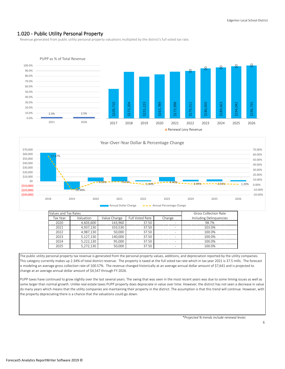# 1.020 - Public Utility Personal Property

Revenue generated from public utility personal property valuations multiplied by the district's full voted tax rate.





| Annual Dollar Change | Annual Percentage Change |
|----------------------|--------------------------|
|----------------------|--------------------------|

| Values and Tax Rates |                                                        | <b>Gross Collection Rate</b> |       |   |                         |
|----------------------|--------------------------------------------------------|------------------------------|-------|---|-------------------------|
| Tax Year             | Full Voted Rate<br>Valuation<br>Value Change<br>Change |                              |       |   | Including Delinguencies |
| 2020                 | 4,603,600                                              | 143.960                      | 37.50 | ۰ | 98.7%                   |
| 2021                 | 4,937,130                                              | 333,530                      | 37.50 | ۰ | 103.0%                  |
| 2022                 | 4.987.130                                              | 50.000                       | 37.50 | ۰ | 100.0%                  |
| 2023                 | 5,127,130                                              | 140.000                      | 37.50 | ۰ | 100.0%                  |
| 2024                 | 5.222.130                                              | 95.000                       | 37.50 | - | 100.0%                  |
| 2025                 | 5.272.130                                              | 50.000                       | 37.50 | ۰ | 100.0%                  |

The public utility personal property tax revenue is generated from the personal property values, additions, and depreciation reported by the utility companies. This category currently makes up 2.34% of total district revenue. The property is taxed at the full voted tax rate which in tax year 2021 is 37.5 mills. The forecast is modeling an average gross collection rate of 100.57%. The revenue changed historically at an average annual dollar amount of \$7,641 and is projected to change at an average annual dollar amount of \$4,547 through FY 2026.

PUPP taxes have continued to grow slightly over the last several years. The swing that was seen in the most recent years was due to some timing issues as well as some larger than normal growth. Unlike real estate taxes PUPP property does depreciate in value over time. However, the district has not seen a decrease in value do many years which means that the utility companies are maintaining their property in the district. The assumption is that this trend will continue. However, with the property depreciating there is a chance that the valuations could go down.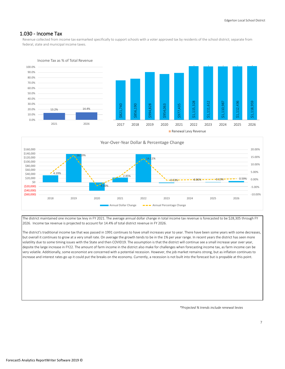# 1.030 - Income Tax

Revenue collected from income tax earmarked specifically to support schools with a voter approved tax by residents of the school district; separate from federal, state and municipal income taxes.



Income Tax as % of Total Revenue



The district maintained one income tax levy in FY 2021. The average annual dollar change in total income tax revenue is forecasted to be \$28,305 through FY 2026. Income tax revenue is projected to account for 14.4% of total district revenue in FY 2026.

The district's traditional income tax that was passed in 1991 continues to have small increases year to year. There have been some years with some decreases, but overall it continues to grow at a very small rate. On average the growth tends to be in the 1% per year range. In recent years the district has seen more volatility due to some timing issues with the State and then COVID19. The assumption is that the district will continue see a small increase year over year, depsite the large increase in FY22. The amount of farm income in the district also make for challenges when forecasting income tax, as farm income can be very volatile. Additionally, some economist are concerned with a potential recession. However, the job market remains strong, but as inflation continues to increase and interest rates go up it could put the breaks on the economy. Currently, a recession is not built into the forecast but is propable at this point.

*\*Projected % trends include renewal levies*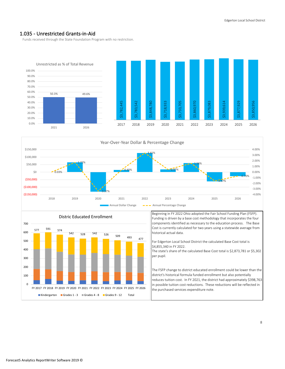# 1.035 - Unrestricted Grants-in-Aid

Funds received through the State Foundation Program with no restriction.







Beginning in FY 2022 Ohio adopted the Fair School Funding Plan (FSFP). Funding is driven by a base cost methodology that incorporates the four components identified as necessary to the education process. The Base Cost is currently calculated for two years using a statewide average from historical actual data.

For Edgerton Local School District the calculated Base Cost total is \$4,855,340 in FY 2022. The state's share of the calculated Base Cost total is \$2,873,781 or \$5,302 per pupil.

The FSFP change to district educated enrollment could be lower than the district's historical formula funded enrollment but also potentially reduces tuition cost. In FY 2021, the district had approximately \$398,763 in possible tuition cost reductions. These reductions will be reflected in the purchased services expenditure note.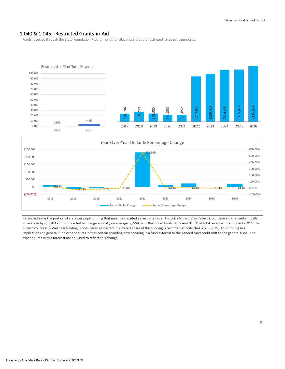#### 1.040 & 1.045 - Restricted Grants-in-Aid

Funds received through the State Foundation Program or other allocations that are restricted for specific purposes.





Restricted aid is the portion of state per pupil funding that must be classifed as restricted use. Historically the district's restricted state aid changed annually on average by -\$6,303 and is projected to change annually on average by \$58,829. Restricted funds represent 0.56% of total revenue. Starting in FY 2022 the district's Success & Wellness funding is considered restricted, the state's share of this funding is recorded as restricted is \$186,835. This funding has implications on general fund expenditures in that certain spending now occuring in a fund external to the general fund could shift to the general fund. The expenditures in this forecast are adjusted to reflect this change.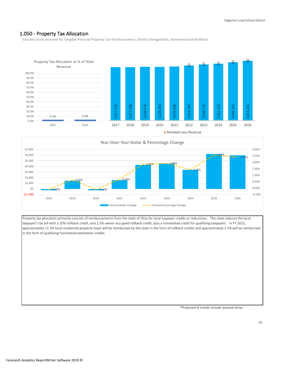# 1.050 - Property Tax Allocation

Includes funds received for Tangible Personal Property Tax Reimbursement, Electric Deregulation, Homestead and Rollback.





Property tax allocation primarily consists of reimbursements from the state of Ohio for local taxpayer credits or reductions. The state reduces the local taxpayer's tax bill with a 10% rollback credit, and 2.5% owner-occupied rollback credit, plus a homestead credit for qualifying taxpayers. In FY 2022, approximately 11.3% local residential property taxes will be reimbursed by the state in the form of rollback credits and approximately 3.1% will be reimbursed in the form of qualifying homestead exemption credits.

*\*Projected % trends include renewal levies*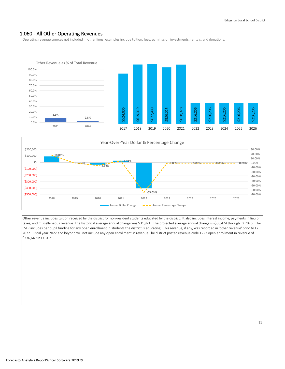# 1.060 - All Other Operating Revenues

Operating revenue sources not included in other lines; examples include tuition, fees, earnings on investments, rentals, and donations.





Other revenue includes tuition received by the district for non-resident students educated by the district. It also includes interest income, payments in lieu of taxes, and miscellaneous revenue. The historical average annual change was \$31,971. The projected average annual change is -\$80,424 through FY 2026. The FSFP includes per pupil funding for any open enrollment in students the district is educating. This revenue, if any, was recorded in 'other revenue' prior to FY 2022. Fiscal year 2022 and beyond will not include any open enrollment in revenue.The district posted revenue code 1227 open enrollment in revenue of \$336,649 in FY 2021.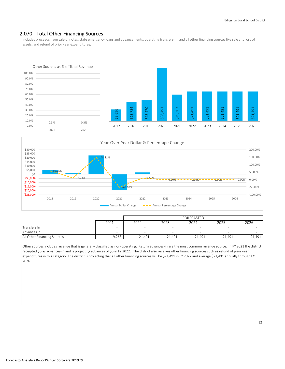# 2.070 - Total Other Financing Sources

Includes proceeds from sale of notes, state emergency loans and advancements, operating transfers-in, and all other financing sources like sale and loss of assets, and refund of prior year expenditures.





| Annual Dollar Change | Annual Percentage Change |
|----------------------|--------------------------|
|----------------------|--------------------------|

|                             |        | FORECASTED               |        |                          |                          |        |  |  |
|-----------------------------|--------|--------------------------|--------|--------------------------|--------------------------|--------|--|--|
|                             | 2021   | 2022                     | 2023   | 2024                     | 2025                     | 2026   |  |  |
| Transfers In                | -      | $-$                      | -      | $\overline{\phantom{a}}$ | $\overline{\phantom{a}}$ |        |  |  |
| Advances In                 | $\sim$ | $\overline{\phantom{0}}$ | -      | $\overline{\phantom{a}}$ | $\overline{\phantom{0}}$ |        |  |  |
| All Other Financing Sources | 19,263 | 21,491                   | 21,491 | 21,491                   | 21,491                   | 21,491 |  |  |

Other sources includes revenue that is generally classified as non-operating. Return advances-in are the most common revenue source. In FY 2021 the district receipted \$0 as advances-in and is projecting advances of \$0 in FY 2022. The district also receives other financing sources such as refund of prior year expenditures in this category. The district is projecting that all other financing sources will be \$21,491 in FY 2022 and average \$21,491 annually through FY 2026.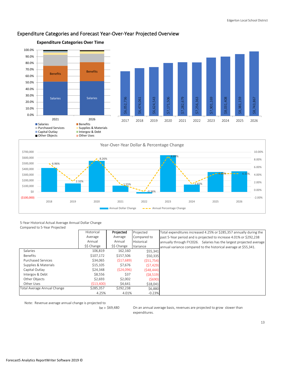

# Expenditure Categories and Forecast Year-Over-Year Projected Overview



5-Year Historical Actual Average Annual Dollar Change Compared to 5-Year Projected

|                             | Historical  | Projected   | Projected   | Total expenditures increased 4.25% or \$285,357 annually during the |
|-----------------------------|-------------|-------------|-------------|---------------------------------------------------------------------|
|                             | Average     | Average     | Compared to | past 5-Year period and is projected to increase 4.01% or \$292,238  |
|                             | Annual      | Annual      | Historical  | annually through FY2026. Salaries has the largest projected average |
|                             | \$\$ Change | \$\$ Change | Variance    | annual variance compared to the historical average at \$55,341.     |
| Salaries                    | 106,819     | 162,160     | \$55,341    |                                                                     |
| Benefits                    | \$107,172   | \$157,506   | \$50,335    |                                                                     |
| <b>Purchased Services</b>   | \$34.065    | (517,689)   | (551,754)   |                                                                     |
| Supplies & Materials        | \$15,105    | \$7,676     | (57, 429)   |                                                                     |
| Capital Outlay              | \$24,348    | (524,096)   | (548, 444)  |                                                                     |
| Intergov & Debt             | \$8,556     | \$37        | ( \$8,519)  |                                                                     |
| Other Objects               | \$2.693     | \$2,002     | (5690)      |                                                                     |
| Other Uses                  | (513,400)   | \$4,641     | \$18,041    |                                                                     |
| Total Average Annual Change | \$285,357   | \$292,238   | \$6,880     |                                                                     |
|                             | 4.25%       | 4.01%       | $-0.23%$    |                                                                     |

Note: Revenue average annual change is projected to

 $be > $69,480$ 

On an annual average basis, revenues are projected to grow slower than expenditures.

13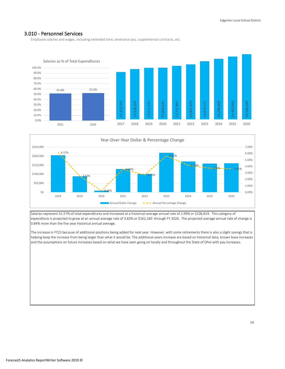#### 3.010 - Personnel Services

Employee salaries and wages, including extended time, severance pay, supplemental contracts, etc.





Salaries represent 51.57% of total expenditures and increased at a historical average annual rate of 2.99% or \$106,819. This category of expenditure is projected to grow at an annual average rate of 3.83% or \$162,160 through FY 2026. The projected average annual rate of change is 0.84% more than the five year historical annual average.

The increase in FY23 because of additional positions being added for next year. However, with some retirements there is also a slight savings that is helping keep the increase from being larger than what it would be. The additional years increase are based on historical data, known base increases and the assumptions on future increases based on what we have seen going on locally and throughout the State of Ohio with pay increases.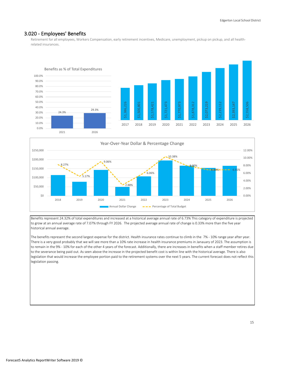## 3.020 - Employees' Benefits

Retirement for all employees, Workers Compensation, early retirement incentives, Medicare, unemployment, pickup on pickup, and all healthrelated insurances.





Benefits represent 24.32% of total expenditures and increased at a historical average annual rate of 6.73% This category of expenditure is projected to grow at an annual average rate of 7.07% through FY 2026. The projected average annual rate of change is 0.33% more than the five year historical annual average.

The benefits represent the second largest expense for the district. Health insurance rates continue to climb in the 7% - 10% range year after year. There is a very good probably that we will see more than a 10% rate increase in health insurance premiums in Janauary of 2023. The assumption is to remain in the 9% - 10% for each of the other 4 years of the forecast. Additionally, there are increases in benefits when a staff member retires due to the severance being paid out. As seen above the increase in the projected benefit cost is within line with the historical average. There is also legislation that would increase the employee portion paid to the retirement systems over the next 5 years. The current forecast does not reflect this legislation passing.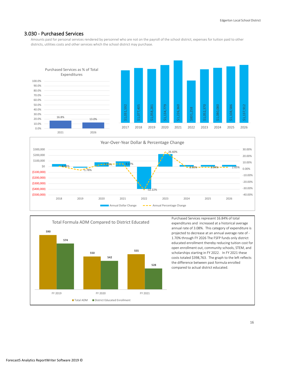#### 3.030 - Purchased Services

Amounts paid for personal services rendered by personnel who are not on the payroll of the school district, expenses for tuition paid to other districts, utilities costs and other services which the school district may purchase.







Purchased Services represent 16.84% of total expenditures and increased at a historical average annual rate of 3.08%. This category of expenditure is projected to decrease at an annual average rate of - 1.70% through FY 2026 The FSFP funds only district educated enrollment thereby reducing tuition cost for open enrollment out, community schools, STEM, and scholarships starting in FY 2022. In FY 2021 these costs totaled \$398,763. The graph to the left reflects the difference between past formula enrolled compared to actual district educated.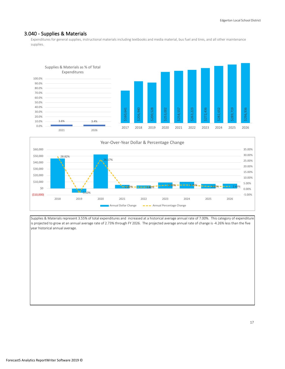#### 3.040 - Supplies & Materials

Expenditures for general supplies, instructional materials including textbooks and media material, bus fuel and tires, and all other maintenance supplies.





Supplies & Materials represent 3.55% of total expenditures and increased at a historical average annual rate of 7.00%. This category of expenditure is projected to grow at an annual average rate of 2.73% through FY 2026. The projected average annual rate of change is -4.26% less than the five year historical annual average.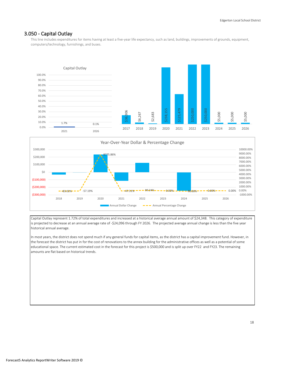## 3.050 - Capital Outlay

This line includes expenditures for items having at least a five-year life expectancy, such as land, buildings, improvements of grounds, equipment, computers/technology, furnishings, and buses.





Capital Outlay represent 1.72% of total expenditures and increased at a historical average annual amount of \$24,348. This category of expenditure is projected to decrease at an annual average rate of -\$24,096 through FY 2026. The projected average annual change is less than the five year historical annual average.

In most years, the district does not spend much if any general funds for capital items, as the district has a capital improvement fund. However, in the forecast the district has put in for the cost of renovations to the annex building for the administrative offices as well as a potential of some educational space. The current estimated cost in the forecast for this project is \$500,000 and is split up over FY22 and FY23. The remaining amounts are flat based on historical trends.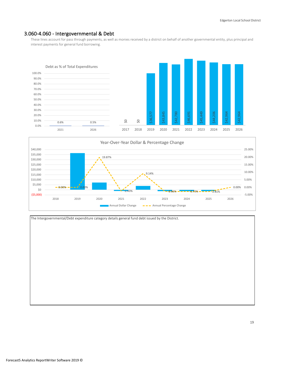#### 3.060-4.060 - Intergovernmental & Debt

These lines account for pass through payments, as well as monies received by a district on behalf of another governmental entity, plus principal and interest payments for general fund borrowing.





19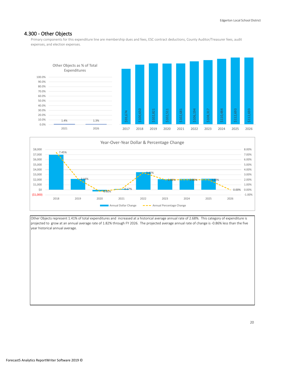## 4.300 - Other Objects

Primary components for this expenditure line are membership dues and fees, ESC contract deductions, County Auditor/Treasurer fees, audit expenses, and election expenses.





Other Objects represent 1.41% of total expenditures and increased at a historical average annual rate of 2.68%. This category of expenditure is projected to grow at an annual average rate of 1.82% through FY 2026. The projected average annual rate of change is -0.86% less than the five year historical annual average.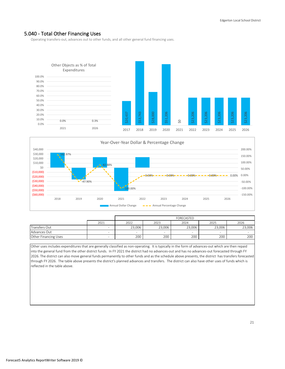## 5.040 - Total Other Financing Uses

Operating transfers-out, advances out to other funds, and all other general fund financing uses.





|                      |      | FORECASTED |                          |        |        |        |  |  |
|----------------------|------|------------|--------------------------|--------|--------|--------|--|--|
|                      | 2021 | 2022       | 2023                     | 2024   | 2025   | 2026   |  |  |
| Transfers Out        | -    | 23.006     | 23.006                   | 23,006 | 23.006 | 23,006 |  |  |
| Advances Out         | -    | -          | $\overline{\phantom{a}}$ | -      |        |        |  |  |
| Other Financing Uses |      | 200        | 200                      | 200    | 200    | 200    |  |  |

Other uses includes expenditures that are generally classified as non-operating. It is typically in the form of advances-out which are then repaid into the general fund from the other district funds. In FY 2021 the district had no advances-out and has no advances-out forecasted through FY 2026. The district can also move general funds permanently to other funds and as the schedule above presents, the district has transfers forecasted through FY 2026. The table above presents the district's planned advances and transfers. The district can also have other uses of funds which is reflected in the table above.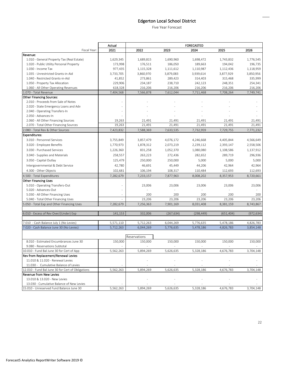# Edgerton Local School District

Five Year Forecast

|                                                                | Actual                   |              |            | <b>FORECASTED</b> |            |            |
|----------------------------------------------------------------|--------------------------|--------------|------------|-------------------|------------|------------|
| Fiscal Year:                                                   | 2021                     | 2022         | 2023       | 2024              | 2025       | 2026       |
| Revenue:                                                       |                          |              |            |                   |            |            |
| 1.010 - General Property Tax (Real Estate)                     | 1,629,345                | 1,689,815    | 1,690,960  | 1,698,472         | 1,743,832  | 1,776,545  |
| 1.020 - Public Utility Personal Property                       | 173,998                  | 176,511      | 186,050    | 189,663           | 194,042    | 196,735    |
| 1.030 - Income Tax                                             | 977,435                  | 1,115,328    | 1,111,612  | 1,110,987         | 1,112,436  | 1,118,959  |
| 1.035 - Unrestricted Grants-in-Aid                             | 3,733,705                | 3,860,970    | 3,879,083  | 3,939,614         | 3,877,929  | 3,850,956  |
| 1.040 - Restricted Grants-in-Aid                               | 41,852                   | 273,861      | 289,423    | 314,403           | 315,468    | 335,999    |
| 1.050 - Property Tax Allocation                                | 229,906                  | 234,187      | 238,710    | 242,123           | 248,351    | 254,341    |
| 1.060 - All Other Operating Revenues                           | 618,328                  | 216,206      | 216,206    | 216,206           | 216,206    | 216,206    |
| 1.070 - Total Revenue                                          | 7,404,568                | 7,566,878    | 7,612,044  | 7,711,468         | 7,708,264  | 7,749,741  |
| <b>Other Financing Sources:</b>                                |                          |              |            |                   |            |            |
| 2.010 - Proceeds from Sale of Notes                            |                          |              |            |                   |            |            |
| 2.020 - State Emergency Loans and Adv                          |                          |              |            |                   |            |            |
| 2.040 - Operating Transfers-In                                 |                          |              |            |                   |            |            |
| 2.050 - Advances-In                                            |                          |              |            |                   |            |            |
| 2.060 - All Other Financing Sources                            | 19,263                   | 21,491       | 21,491     | 21,491            | 21,491     | 21,491     |
| 2.070 - Total Other Financing Sources                          | 19,263                   | 21,491       | 21,491     | 21,491            | 21,491     | 21,491     |
| 2.080 - Total Rev & Other Sources                              | 7,423,832                | 7,588,369    | 7,633,535  | 7,732,959         | 7,729,755  | 7,771,232  |
| Expenditures:                                                  |                          |              |            |                   |            |            |
| 3.010 - Personnel Services                                     | 3,755,849                | 3,857,479    | 4,076,172  | 4,246,668         | 4,405,844  | 4,566,649  |
| 3.020 - Employee Benefits                                      | 1,770,973                | 1,878,312    | 2,073,219  | 2,239,112         | 2,393,147  | 2,558,506  |
| 3.030 - Purchased Services                                     | 1,226,360                | 831,258      | 1,052,370  | 1,080,080         | 1,108,586  | 1,137,912  |
| 3.040 - Supplies and Materials                                 | 258,557                  | 263,223      | 272,436    | 282,652           | 289,719    | 296,936    |
| 3.050 - Capital Outlay                                         | 125,479                  | 250,000      | 250,000    | 5,000             | 5,000      | 5,000      |
| Intergovernmental & Debt Service                               | 42,780                   | 46,691       | 45,449     | 44,206            | 42,964     | 42,964     |
| 4.300 - Other Objects                                          | 102,681                  | 106,194      | 108,317    | 110,484           | 112,693    | 112,693    |
|                                                                |                          |              |            |                   |            |            |
| 4.500 - Total Expenditures                                     | 7,282,679                | 7,233,157    | 7,877,963  | 8,008,202         | 8,357,953  | 8,720,661  |
| <b>Other Financing Uses</b><br>5.010 - Operating Transfers-Out |                          | 23,006       | 23,006     | 23,006            | 23,006     | 23,006     |
| 5.020 - Advances-Out                                           |                          |              |            |                   |            |            |
| 5.030 - All Other Financing Uses                               | $\overline{\phantom{a}}$ | 200          | 200        | 200               | 200        | 200        |
| 5.040 - Total Other Financing Uses                             | $\sim$                   | 23,206       | 23,206     | 23,206            | 23,206     | 23,206     |
| 5.050 - Total Exp and Other Financing Uses                     | 7,282,679                | 7,256,363    | 7,901,169  | 8,031,408         | 8,381,159  | 8,743,867  |
|                                                                |                          |              |            |                   |            |            |
| 6.010 - Excess of Rev Over/(Under) Exp                         | 141,153                  | 332,006      | (267, 634) | (298, 449)        | (651, 404) | (972, 634) |
|                                                                |                          |              |            |                   |            |            |
| 7.010 - Cash Balance July 1 (No Levies)                        | 5,571,110                | 5,712,263    | 6,044,269  | 5,776,635         | 5,478,186  | 4,826,783  |
| 7.020 - Cash Balance June 30 (No Levies)                       | 5,712,263                | 6,044,269    | 5,776,635  | 5,478,186         | 4,826,783  | 3,854,148  |
|                                                                |                          |              |            |                   |            |            |
|                                                                |                          | Reservations |            |                   |            |            |
| 8.010 - Estimated Encumbrances June 30                         | 150,000                  | 150,000      | 150,000    | 150,000           | 150,000    | 150,000    |
| 9.080 - Reservations Subtotal                                  |                          |              |            |                   |            |            |
| 10.010 - Fund Bal June 30 for Cert of App                      | 5,562,263                | 5,894,269    | 5,626,635  | 5,328,186         | 4,676,783  | 3,704,148  |
| Rev from Replacement/Renewal Levies                            |                          |              |            |                   |            |            |
| 11.010 & 11.020 - Renewal Levies                               |                          |              |            |                   |            |            |
| 11.030 - Cumulative Balance of Levies                          |                          |              |            |                   |            |            |
| 12.010 - Fund Bal June 30 for Cert of Obligations              | 5,562,263                | 5,894,269    | 5,626,635  | 5,328,186         | 4,676,783  | 3,704,148  |
| <b>Revenue from New Levies</b>                                 |                          |              |            |                   |            |            |
| 13.010 & 13.020 - New Levies                                   |                          |              |            |                   |            |            |
| 13.030 - Cumulative Balance of New Levies                      |                          |              |            |                   |            |            |
| 15.010 - Unreserved Fund Balance June 30                       | 5,562,263                | 5,894,269    | 5,626,635  | 5,328,186         | 4,676,783  | 3,704,148  |